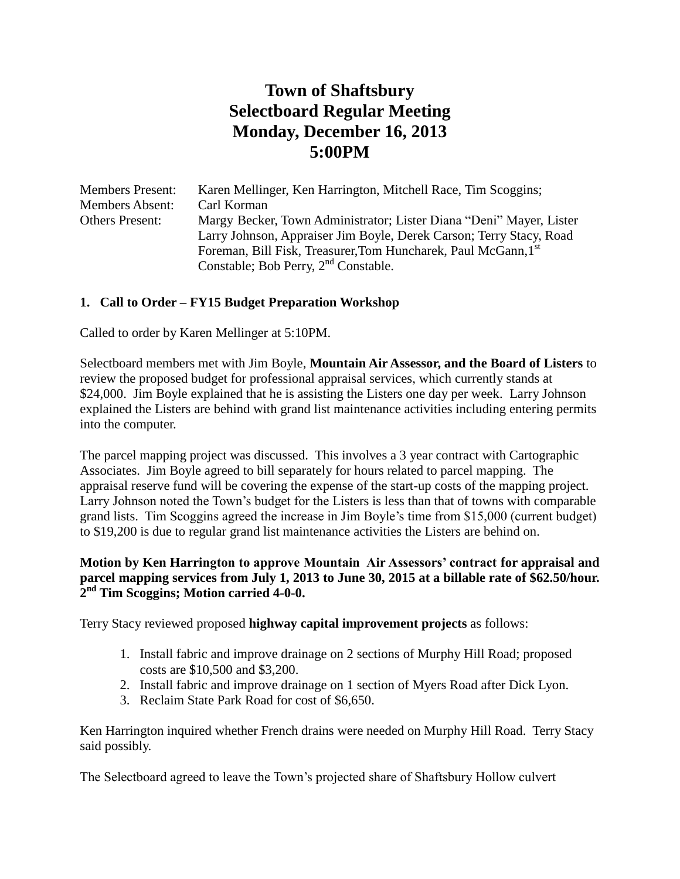# **Town of Shaftsbury Selectboard Regular Meeting Monday, December 16, 2013 5:00PM**

| <b>Members Present:</b> | Karen Mellinger, Ken Harrington, Mitchell Race, Tim Scoggins;                                                                              |
|-------------------------|--------------------------------------------------------------------------------------------------------------------------------------------|
| <b>Members Absent:</b>  | Carl Korman                                                                                                                                |
| <b>Others Present:</b>  | Margy Becker, Town Administrator; Lister Diana "Deni" Mayer, Lister<br>Larry Johnson, Appraiser Jim Boyle, Derek Carson; Terry Stacy, Road |
|                         | Foreman, Bill Fisk, Treasurer, Tom Huncharek, Paul McGann, 1st<br>Constable; Bob Perry, $2nd$ Constable.                                   |
|                         |                                                                                                                                            |

## **1. Call to Order – FY15 Budget Preparation Workshop**

Called to order by Karen Mellinger at 5:10PM.

Selectboard members met with Jim Boyle, **Mountain Air Assessor, and the Board of Listers** to review the proposed budget for professional appraisal services, which currently stands at \$24,000. Jim Boyle explained that he is assisting the Listers one day per week. Larry Johnson explained the Listers are behind with grand list maintenance activities including entering permits into the computer.

The parcel mapping project was discussed. This involves a 3 year contract with Cartographic Associates. Jim Boyle agreed to bill separately for hours related to parcel mapping. The appraisal reserve fund will be covering the expense of the start-up costs of the mapping project. Larry Johnson noted the Town's budget for the Listers is less than that of towns with comparable grand lists. Tim Scoggins agreed the increase in Jim Boyle's time from \$15,000 (current budget) to \$19,200 is due to regular grand list maintenance activities the Listers are behind on.

#### **Motion by Ken Harrington to approve Mountain Air Assessors' contract for appraisal and parcel mapping services from July 1, 2013 to June 30, 2015 at a billable rate of \$62.50/hour. 2 nd Tim Scoggins; Motion carried 4-0-0.**

Terry Stacy reviewed proposed **highway capital improvement projects** as follows:

- 1. Install fabric and improve drainage on 2 sections of Murphy Hill Road; proposed costs are \$10,500 and \$3,200.
- 2. Install fabric and improve drainage on 1 section of Myers Road after Dick Lyon.
- 3. Reclaim State Park Road for cost of \$6,650.

Ken Harrington inquired whether French drains were needed on Murphy Hill Road. Terry Stacy said possibly.

The Selectboard agreed to leave the Town's projected share of Shaftsbury Hollow culvert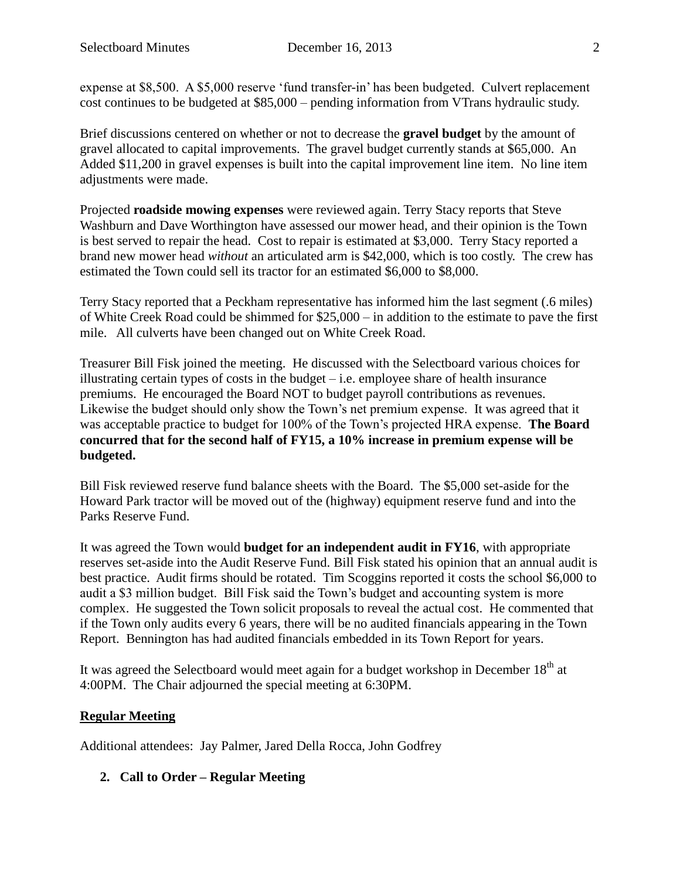expense at \$8,500. A \$5,000 reserve 'fund transfer-in' has been budgeted. Culvert replacement cost continues to be budgeted at \$85,000 – pending information from VTrans hydraulic study.

Brief discussions centered on whether or not to decrease the **gravel budget** by the amount of gravel allocated to capital improvements. The gravel budget currently stands at \$65,000. An Added \$11,200 in gravel expenses is built into the capital improvement line item. No line item adjustments were made.

Projected **roadside mowing expenses** were reviewed again. Terry Stacy reports that Steve Washburn and Dave Worthington have assessed our mower head, and their opinion is the Town is best served to repair the head. Cost to repair is estimated at \$3,000. Terry Stacy reported a brand new mower head *without* an articulated arm is \$42,000, which is too costly. The crew has estimated the Town could sell its tractor for an estimated \$6,000 to \$8,000.

Terry Stacy reported that a Peckham representative has informed him the last segment (.6 miles) of White Creek Road could be shimmed for \$25,000 – in addition to the estimate to pave the first mile. All culverts have been changed out on White Creek Road.

Treasurer Bill Fisk joined the meeting. He discussed with the Selectboard various choices for illustrating certain types of costs in the budget  $-$  i.e. employee share of health insurance premiums. He encouraged the Board NOT to budget payroll contributions as revenues. Likewise the budget should only show the Town's net premium expense. It was agreed that it was acceptable practice to budget for 100% of the Town's projected HRA expense. **The Board concurred that for the second half of FY15, a 10% increase in premium expense will be budgeted.**

Bill Fisk reviewed reserve fund balance sheets with the Board. The \$5,000 set-aside for the Howard Park tractor will be moved out of the (highway) equipment reserve fund and into the Parks Reserve Fund.

It was agreed the Town would **budget for an independent audit in FY16**, with appropriate reserves set-aside into the Audit Reserve Fund. Bill Fisk stated his opinion that an annual audit is best practice. Audit firms should be rotated. Tim Scoggins reported it costs the school \$6,000 to audit a \$3 million budget. Bill Fisk said the Town's budget and accounting system is more complex. He suggested the Town solicit proposals to reveal the actual cost. He commented that if the Town only audits every 6 years, there will be no audited financials appearing in the Town Report. Bennington has had audited financials embedded in its Town Report for years.

It was agreed the Selectboard would meet again for a budget workshop in December  $18<sup>th</sup>$  at 4:00PM. The Chair adjourned the special meeting at 6:30PM.

## **Regular Meeting**

Additional attendees: Jay Palmer, Jared Della Rocca, John Godfrey

**2. Call to Order – Regular Meeting**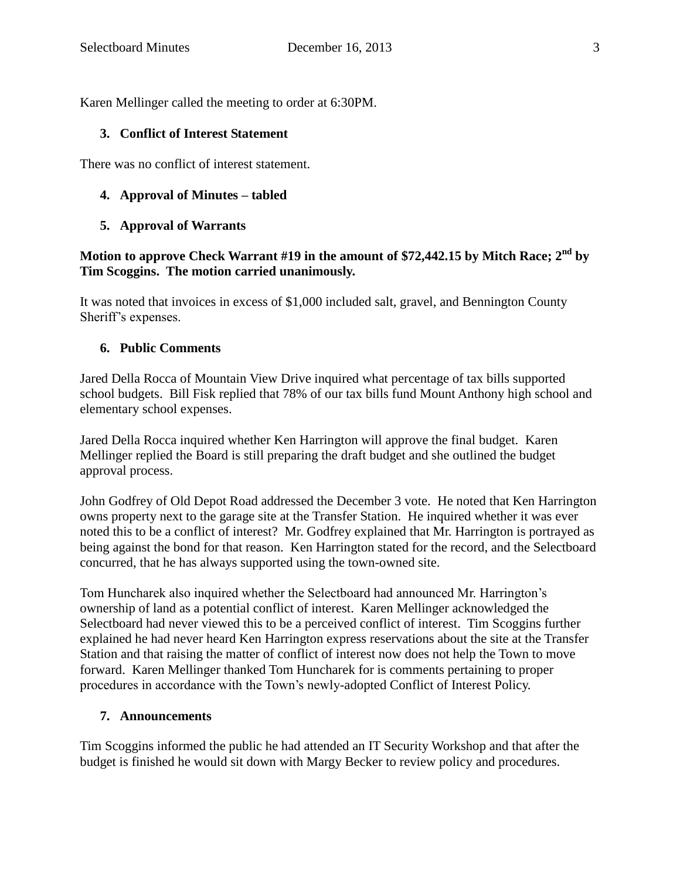Karen Mellinger called the meeting to order at 6:30PM.

#### **3. Conflict of Interest Statement**

There was no conflict of interest statement.

#### **4. Approval of Minutes – tabled**

#### **5. Approval of Warrants**

## **Motion to approve Check Warrant #19 in the amount of \$72,442.15 by Mitch Race; 2nd by Tim Scoggins. The motion carried unanimously.**

It was noted that invoices in excess of \$1,000 included salt, gravel, and Bennington County Sheriff's expenses.

#### **6. Public Comments**

Jared Della Rocca of Mountain View Drive inquired what percentage of tax bills supported school budgets. Bill Fisk replied that 78% of our tax bills fund Mount Anthony high school and elementary school expenses.

Jared Della Rocca inquired whether Ken Harrington will approve the final budget. Karen Mellinger replied the Board is still preparing the draft budget and she outlined the budget approval process.

John Godfrey of Old Depot Road addressed the December 3 vote. He noted that Ken Harrington owns property next to the garage site at the Transfer Station. He inquired whether it was ever noted this to be a conflict of interest? Mr. Godfrey explained that Mr. Harrington is portrayed as being against the bond for that reason. Ken Harrington stated for the record, and the Selectboard concurred, that he has always supported using the town-owned site.

Tom Huncharek also inquired whether the Selectboard had announced Mr. Harrington's ownership of land as a potential conflict of interest. Karen Mellinger acknowledged the Selectboard had never viewed this to be a perceived conflict of interest. Tim Scoggins further explained he had never heard Ken Harrington express reservations about the site at the Transfer Station and that raising the matter of conflict of interest now does not help the Town to move forward. Karen Mellinger thanked Tom Huncharek for is comments pertaining to proper procedures in accordance with the Town's newly-adopted Conflict of Interest Policy.

#### **7. Announcements**

Tim Scoggins informed the public he had attended an IT Security Workshop and that after the budget is finished he would sit down with Margy Becker to review policy and procedures.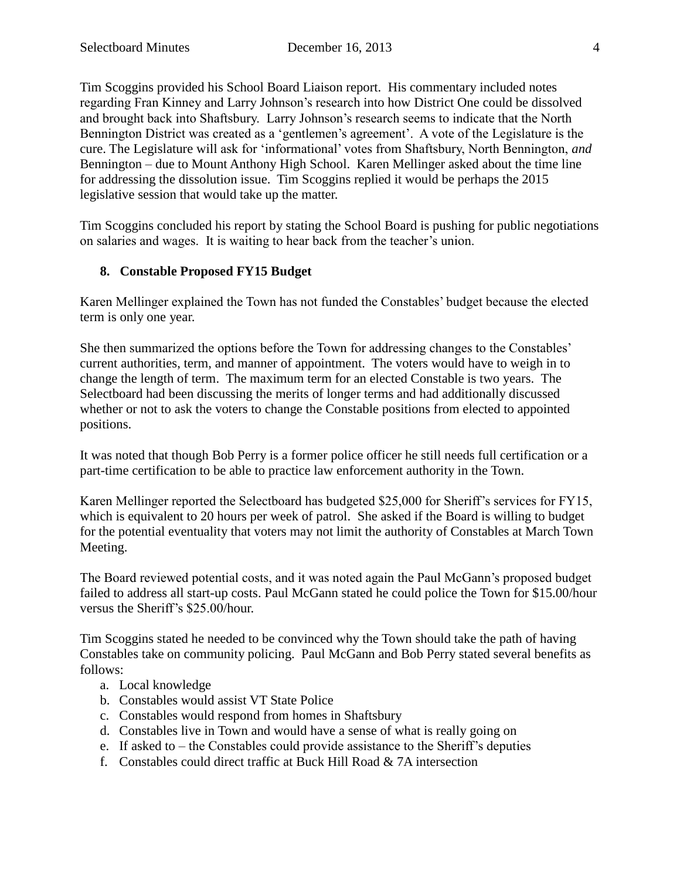Tim Scoggins provided his School Board Liaison report. His commentary included notes regarding Fran Kinney and Larry Johnson's research into how District One could be dissolved and brought back into Shaftsbury. Larry Johnson's research seems to indicate that the North Bennington District was created as a 'gentlemen's agreement'. A vote of the Legislature is the cure. The Legislature will ask for 'informational' votes from Shaftsbury, North Bennington, *and* Bennington – due to Mount Anthony High School. Karen Mellinger asked about the time line for addressing the dissolution issue. Tim Scoggins replied it would be perhaps the 2015 legislative session that would take up the matter.

Tim Scoggins concluded his report by stating the School Board is pushing for public negotiations on salaries and wages. It is waiting to hear back from the teacher's union.

## **8. Constable Proposed FY15 Budget**

Karen Mellinger explained the Town has not funded the Constables' budget because the elected term is only one year.

She then summarized the options before the Town for addressing changes to the Constables' current authorities, term, and manner of appointment. The voters would have to weigh in to change the length of term. The maximum term for an elected Constable is two years. The Selectboard had been discussing the merits of longer terms and had additionally discussed whether or not to ask the voters to change the Constable positions from elected to appointed positions.

It was noted that though Bob Perry is a former police officer he still needs full certification or a part-time certification to be able to practice law enforcement authority in the Town.

Karen Mellinger reported the Selectboard has budgeted \$25,000 for Sheriff's services for FY15, which is equivalent to 20 hours per week of patrol. She asked if the Board is willing to budget for the potential eventuality that voters may not limit the authority of Constables at March Town Meeting.

The Board reviewed potential costs, and it was noted again the Paul McGann's proposed budget failed to address all start-up costs. Paul McGann stated he could police the Town for \$15.00/hour versus the Sheriff's \$25.00/hour.

Tim Scoggins stated he needed to be convinced why the Town should take the path of having Constables take on community policing. Paul McGann and Bob Perry stated several benefits as follows:

- a. Local knowledge
- b. Constables would assist VT State Police
- c. Constables would respond from homes in Shaftsbury
- d. Constables live in Town and would have a sense of what is really going on
- e. If asked to the Constables could provide assistance to the Sheriff's deputies
- f. Constables could direct traffic at Buck Hill Road & 7A intersection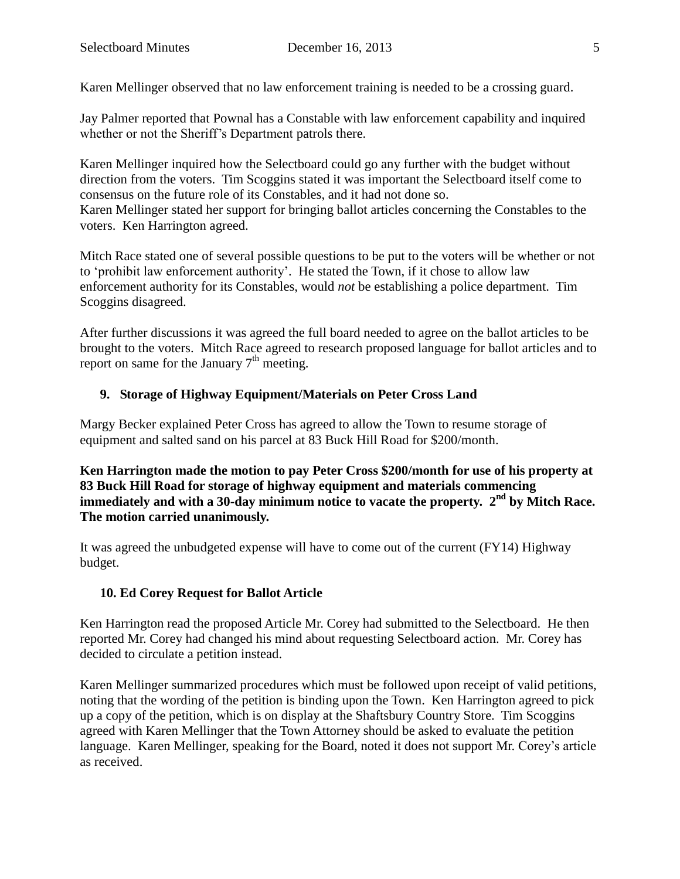Karen Mellinger observed that no law enforcement training is needed to be a crossing guard.

Jay Palmer reported that Pownal has a Constable with law enforcement capability and inquired whether or not the Sheriff's Department patrols there.

Karen Mellinger inquired how the Selectboard could go any further with the budget without direction from the voters. Tim Scoggins stated it was important the Selectboard itself come to consensus on the future role of its Constables, and it had not done so. Karen Mellinger stated her support for bringing ballot articles concerning the Constables to the voters. Ken Harrington agreed.

Mitch Race stated one of several possible questions to be put to the voters will be whether or not to 'prohibit law enforcement authority'. He stated the Town, if it chose to allow law enforcement authority for its Constables, would *not* be establishing a police department. Tim Scoggins disagreed.

After further discussions it was agreed the full board needed to agree on the ballot articles to be brought to the voters. Mitch Race agreed to research proposed language for ballot articles and to report on same for the January  $7<sup>th</sup>$  meeting.

## **9. Storage of Highway Equipment/Materials on Peter Cross Land**

Margy Becker explained Peter Cross has agreed to allow the Town to resume storage of equipment and salted sand on his parcel at 83 Buck Hill Road for \$200/month.

**Ken Harrington made the motion to pay Peter Cross \$200/month for use of his property at 83 Buck Hill Road for storage of highway equipment and materials commencing**  immediately and with a 30-day minimum notice to vacate the property. 2<sup>nd</sup> by Mitch Race. **The motion carried unanimously.**

It was agreed the unbudgeted expense will have to come out of the current (FY14) Highway budget.

## **10. Ed Corey Request for Ballot Article**

Ken Harrington read the proposed Article Mr. Corey had submitted to the Selectboard. He then reported Mr. Corey had changed his mind about requesting Selectboard action. Mr. Corey has decided to circulate a petition instead.

Karen Mellinger summarized procedures which must be followed upon receipt of valid petitions, noting that the wording of the petition is binding upon the Town. Ken Harrington agreed to pick up a copy of the petition, which is on display at the Shaftsbury Country Store. Tim Scoggins agreed with Karen Mellinger that the Town Attorney should be asked to evaluate the petition language. Karen Mellinger, speaking for the Board, noted it does not support Mr. Corey's article as received.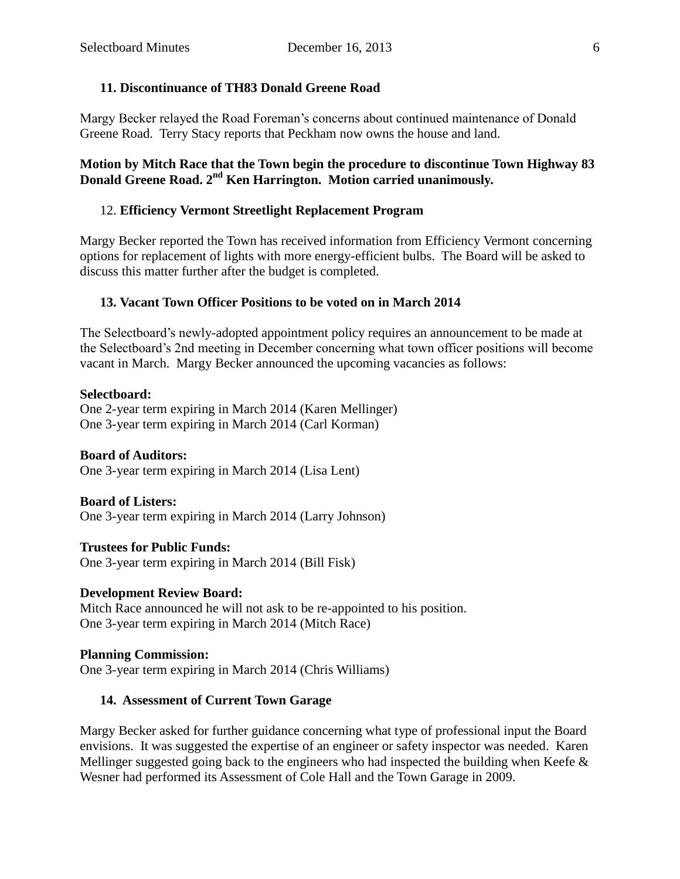## **11. Discontinuance of TH83 Donald Greene Road**

Margy Becker relayed the Road Foreman's concerns about continued maintenance of Donald Greene Road. Terry Stacy reports that Peckham now owns the house and land.

## **Motion by Mitch Race that the Town begin the procedure to discontinue Town Highway 83 Donald Greene Road. 2nd Ken Harrington. Motion carried unanimously.**

## 12. **Efficiency Vermont Streetlight Replacement Program**

Margy Becker reported the Town has received information from Efficiency Vermont concerning options for replacement of lights with more energy-efficient bulbs. The Board will be asked to discuss this matter further after the budget is completed.

## **13. Vacant Town Officer Positions to be voted on in March 2014**

The Selectboard's newly-adopted appointment policy requires an announcement to be made at the Selectboard's 2nd meeting in December concerning what town officer positions will become vacant in March. Margy Becker announced the upcoming vacancies as follows:

#### **Selectboard:**

One 2-year term expiring in March 2014 (Karen Mellinger) One 3-year term expiring in March 2014 (Carl Korman)

## **Board of Auditors:**

One 3-year term expiring in March 2014 (Lisa Lent)

**Board of Listers:** One 3-year term expiring in March 2014 (Larry Johnson)

**Trustees for Public Funds:** One 3-year term expiring in March 2014 (Bill Fisk)

#### **Development Review Board:**

Mitch Race announced he will not ask to be re-appointed to his position. One 3-year term expiring in March 2014 (Mitch Race)

#### **Planning Commission:**

One 3-year term expiring in March 2014 (Chris Williams)

## **14. Assessment of Current Town Garage**

Margy Becker asked for further guidance concerning what type of professional input the Board envisions. It was suggested the expertise of an engineer or safety inspector was needed. Karen Mellinger suggested going back to the engineers who had inspected the building when Keefe  $\&$ Wesner had performed its Assessment of Cole Hall and the Town Garage in 2009.